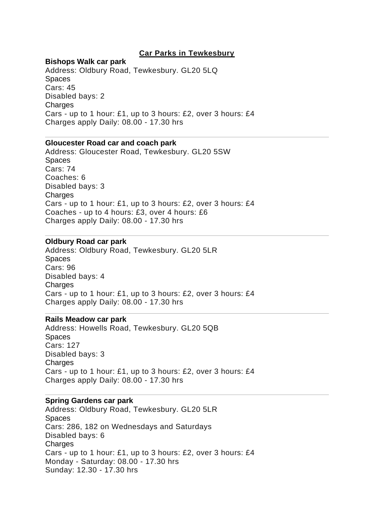# **Car Parks in Tewkesbury**

## **Bishops Walk car park**

Address: Oldbury Road, Tewkesbury. GL20 5LQ Spaces Cars: 45 Disabled bays: 2 **Charges** Cars - up to 1 hour: £1, up to 3 hours: £2, over 3 hours: £4 Charges apply Daily: 08.00 - 17.30 hrs

# **Gloucester Road car and coach park**

Address: Gloucester Road, Tewkesbury. GL20 5SW Spaces Cars: 74 Coaches: 6 Disabled bays: 3 **Charges** Cars - up to 1 hour: £1, up to 3 hours: £2, over 3 hours: £4 Coaches - up to 4 hours: £3, over 4 hours: £6 Charges apply Daily: 08.00 - 17.30 hrs

## **Oldbury Road car park**

Address: Oldbury Road, Tewkesbury. GL20 5LR **Spaces** Cars: 96 Disabled bays: 4 Charges Cars - up to 1 hour: £1, up to 3 hours: £2, over 3 hours: £4 Charges apply Daily: 08.00 - 17.30 hrs

## **Rails Meadow car park**

Address: Howells Road, Tewkesbury. GL20 5QB Spaces Cars: 127 Disabled bays: 3 Charges Cars - up to 1 hour: £1, up to 3 hours: £2, over 3 hours: £4 Charges apply Daily: 08.00 - 17.30 hrs

#### **Spring Gardens car park**

Address: Oldbury Road, Tewkesbury. GL20 5LR Spaces Cars: 286, 182 on Wednesdays and Saturdays Disabled bays: 6 Charges Cars - up to 1 hour: £1, up to 3 hours: £2, over 3 hours: £4 Monday - Saturday: 08.00 - 17.30 hrs Sunday: 12.30 - 17.30 hrs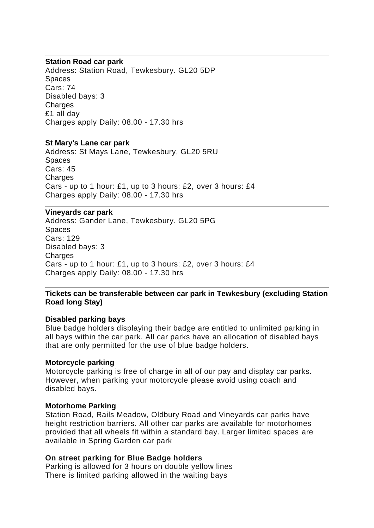## **Station Road car park**

Address: Station Road, Tewkesbury. GL20 5DP Spaces Cars: 74 Disabled bays: 3 **Charges** £1 all day Charges apply Daily: 08.00 - 17.30 hrs

## **St Mary's Lane car park**

Address: St Mays Lane, Tewkesbury, GL20 5RU **Spaces** Cars: 45 Charges Cars - up to 1 hour: £1, up to 3 hours: £2, over 3 hours: £4 Charges apply Daily: 08.00 - 17.30 hrs

## **Vineyards car park**

Address: Gander Lane, Tewkesbury. GL20 5PG Spaces Cars: 129 Disabled bays: 3 **Charges** Cars - up to 1 hour: £1, up to 3 hours: £2, over 3 hours: £4 Charges apply Daily: 08.00 - 17.30 hrs

# **Tickets can be transferable between car park in Tewkesbury (excluding Station Road long Stay)**

#### **Disabled parking bays**

Blue badge holders displaying their badge are entitled to unlimited parking in all bays within the car park. All car parks have an allocation of disabled bays that are only permitted for the use of blue badge holders.

#### **Motorcycle parking**

Motorcycle parking is free of charge in all of our pay and display car parks. However, when parking your motorcycle please avoid using coach and disabled bays.

#### **Motorhome Parking**

Station Road, Rails Meadow, Oldbury Road and Vineyards car parks have height restriction barriers. All other car parks are available for motorhomes provided that all wheels fit within a standard bay. Larger limited spaces are available in Spring Garden car park

## **On street parking for Blue Badge holders**

Parking is allowed for 3 hours on double yellow lines There is limited parking allowed in the waiting bays